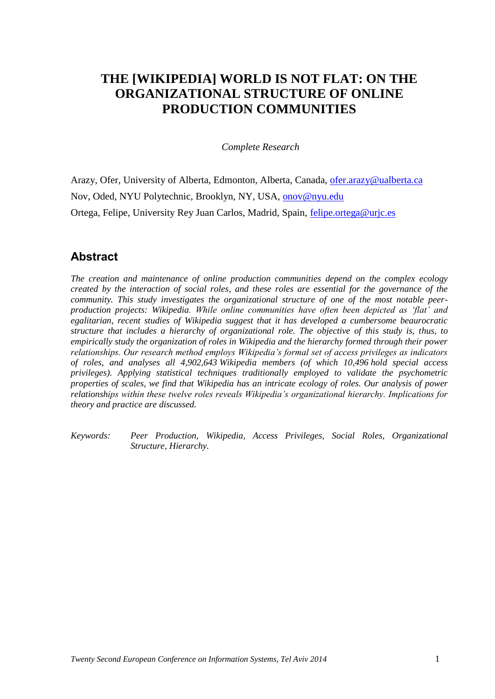# **THE [WIKIPEDIA] WORLD IS NOT FLAT: ON THE ORGANIZATIONAL STRUCTURE OF ONLINE PRODUCTION COMMUNITIES**

*Complete Research* 

Arazy, Ofer, University of Alberta, Edmonton, Alberta, Canada, [ofer.arazy@ualberta.ca](mailto:ofer.arazy@ualberta.ca) Nov, Oded, NYU Polytechnic, Brooklyn, NY, USA, onov@nyu.edu Ortega, Felipe, University Rey Juan Carlos, Madrid, Spain, [felipe.ortega@urjc.es](mailto:felipe.ortega@urjc.es)

## **Abstract**

*The creation and maintenance of online production communities depend on the complex ecology created by the interaction of social roles, and these roles are essential for the governance of the community. This study investigates the organizational structure of one of the most notable peerproduction projects: Wikipedia. While online communities have often been depicted as 'flat' and egalitarian, recent studies of Wikipedia suggest that it has developed a cumbersome beaurocratic structure that includes a hierarchy of organizational role. The objective of this study is, thus, to empirically study the organization of roles in Wikipedia and the hierarchy formed through their power relationships. Our research method employs Wikipedia's formal set of access privileges as indicators of roles, and analyses all 4,902,643 Wikipedia members (of which 10,496 hold special access privileges). Applying statistical techniques traditionally employed to validate the psychometric properties of scales, we find that Wikipedia has an intricate ecology of roles. Our analysis of power relationships within these twelve roles reveals Wikipedia's organizational hierarchy. Implications for theory and practice are discussed.*

*Keywords: Peer Production, Wikipedia, Access Privileges, Social Roles, Organizational Structure, Hierarchy.*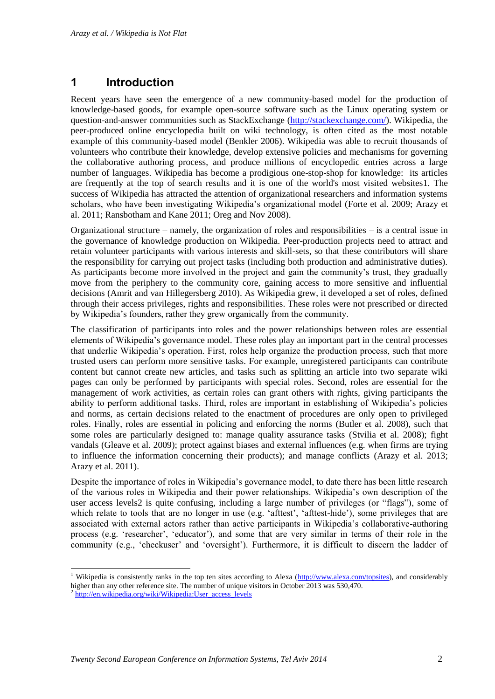## **1 Introduction**

Recent years have seen the emergence of a new community-based model for the production of knowledge-based goods, for example open-source software such as the Linux operating system or question-and-answer communities such as StackExchange [\(http://stackexchange.com/\)](http://stackexchange.com/). Wikipedia, the peer-produced online encyclopedia built on wiki technology, is often cited as the most notable example of this community-based model [\(Benkler 2006\)](#page-13-0). Wikipedia was able to recruit thousands of volunteers who contribute their knowledge, develop extensive policies and mechanisms for governing the collaborative authoring process, and produce millions of encyclopedic entries across a large number of languages. Wikipedia has become a prodigious one-stop-shop for knowledge: its articles are frequently at the top of search results and it is one of the world's most visited websites1. The success of Wikipedia has attracted the attention of organizational researchers and information systems scholars, who have been investigating Wikipedia's organizational model [\(Forte et al. 2009;](#page-13-1) [Arazy et](#page-12-0)  [al. 2011;](#page-12-0) [Ransbotham and Kane 2011;](#page-14-0) [Oreg and Nov 2008\)](#page-14-1).

Organizational structure – namely, the organization of roles and responsibilities – is a central issue in the governance of knowledge production on Wikipedia. Peer-production projects need to attract and retain volunteer participants with various interests and skill-sets, so that these contributors will share the responsibility for carrying out project tasks (including both production and administrative duties). As participants become more involved in the project and gain the community's trust, they gradually move from the periphery to the community core, gaining access to more sensitive and influential decisions [\(Amrit and van Hillegersberg 2010\)](#page-12-1). As Wikipedia grew, it developed a set of roles, defined through their access privileges, rights and responsibilities. These roles were not prescribed or directed by Wikipedia's founders, rather they grew organically from the community.

The classification of participants into roles and the power relationships between roles are essential elements of Wikipedia's governance model. These roles play an important part in the central processes that underlie Wikipedia's operation. First, roles help organize the production process, such that more trusted users can perform more sensitive tasks. For example, unregistered participants can contribute content but cannot create new articles, and tasks such as splitting an article into two separate wiki pages can only be performed by participants with special roles. Second, roles are essential for the management of work activities, as certain roles can grant others with rights, giving participants the ability to perform additional tasks. Third, roles are important in establishing of Wikipedia's policies and norms, as certain decisions related to the enactment of procedures are only open to privileged roles. Finally, roles are essential in policing and enforcing the norms [\(Butler et al. 2008\)](#page-13-2), such that some roles are particularly designed to: manage quality assurance tasks [\(Stvilia et al. 2008\)](#page-14-2); fight vandals [\(Gleave et al. 2009\)](#page-13-3); protect against biases and external influences (e.g. when firms are trying to influence the information concerning their products); and manage conflicts [\(Arazy et al. 2013;](#page-13-4) [Arazy et al. 2011\)](#page-12-0).

Despite the importance of roles in Wikipedia's governance model, to date there has been little research of the various roles in Wikipedia and their power relationships. Wikipedia's own description of the user access levels2 is quite confusing, including a large number of privileges (or "flags"), some of which relate to tools that are no longer in use (e.g. 'afttest', 'afttest-hide'), some privileges that are associated with external actors rather than active participants in Wikipedia's collaborative-authoring process (e.g. 'researcher', 'educator'), and some that are very similar in terms of their role in the community (e.g., 'checkuser' and 'oversight'). Furthermore, it is difficult to discern the ladder of

-

<sup>&</sup>lt;sup>1</sup> Wikipedia is consistently ranks in the top ten sites according to Alexa ( $\frac{http://www.alexa.com/top sites)}{http://www.alexa.com/top sites)}$ , and considerably higher than any other reference site. The number of unique visitors in October 2013 was 530,470. 2

[http://en.wikipedia.org/wiki/Wikipedia:User\\_access\\_levels](http://en.wikipedia.org/wiki/Wikipedia:User_access_levels)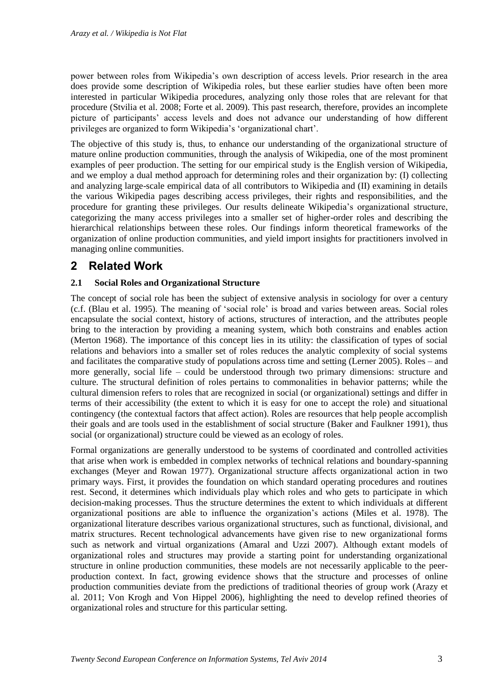power between roles from Wikipedia's own description of access levels. Prior research in the area does provide some description of Wikipedia roles, but these earlier studies have often been more interested in particular Wikipedia procedures, analyzing only those roles that are relevant for that procedure [\(Stvilia et al. 2008;](#page-14-2) [Forte et al. 2009\)](#page-13-1). This past research, therefore, provides an incomplete picture of participants' access levels and does not advance our understanding of how different privileges are organized to form Wikipedia's 'organizational chart'.

The objective of this study is, thus, to enhance our understanding of the organizational structure of mature online production communities, through the analysis of Wikipedia, one of the most prominent examples of peer production. The setting for our empirical study is the English version of Wikipedia, and we employ a dual method approach for determining roles and their organization by: (I) collecting and analyzing large-scale empirical data of all contributors to Wikipedia and (II) examining in details the various Wikipedia pages describing access privileges, their rights and responsibilities, and the procedure for granting these privileges. Our results delineate Wikipedia's organizational structure, categorizing the many access privileges into a smaller set of higher-order roles and describing the hierarchical relationships between these roles. Our findings inform theoretical frameworks of the organization of online production communities, and yield import insights for practitioners involved in managing online communities.

## **2 Related Work**

#### **2.1 Social Roles and Organizational Structure**

The concept of social role has been the subject of extensive analysis in sociology for over a century (c.f. [\(Blau et al. 1995\)](#page-13-5). The meaning of 'social role' is broad and varies between areas. Social roles encapsulate the social context, history of actions, structures of interaction, and the attributes people bring to the interaction by providing a meaning system, which both constrains and enables action [\(Merton 1968\)](#page-14-3). The importance of this concept lies in its utility: the classification of types of social relations and behaviors into a smaller set of roles reduces the analytic complexity of social systems and facilitates the comparative study of populations across time and setting [\(Lerner 2005\)](#page-14-4). Roles – and more generally, social life – could be understood through two primary dimensions: structure and culture. The structural definition of roles pertains to commonalities in behavior patterns; while the cultural dimension refers to roles that are recognized in social (or organizational) settings and differ in terms of their accessibility (the extent to which it is easy for one to accept the role) and situational contingency (the contextual factors that affect action). Roles are resources that help people accomplish their goals and are tools used in the establishment of social structure [\(Baker and Faulkner 1991\)](#page-13-6), thus social (or organizational) structure could be viewed as an ecology of roles.

Formal organizations are generally understood to be systems of coordinated and controlled activities that arise when work is embedded in complex networks of technical relations and boundary-spanning exchanges [\(Meyer and Rowan 1977\)](#page-14-5). Organizational structure affects organizational action in two primary ways. First, it provides the foundation on which standard operating procedures and routines rest. Second, it determines which individuals play which roles and who gets to participate in which decision-making processes. Thus the structure determines the extent to which individuals at different organizational positions are able to influence the organization's actions [\(Miles et al. 1978\)](#page-14-6). The organizational literature describes various organizational structures, such as functional, divisional, and matrix structures. Recent technological advancements have given rise to new organizational forms such as network and virtual organizations [\(Amaral and Uzzi 2007\)](#page-12-2). Although extant models of organizational roles and structures may provide a starting point for understanding organizational structure in online production communities, these models are not necessarily applicable to the peerproduction context. In fact, growing evidence shows that the structure and processes of online production communities deviate from the predictions of traditional theories of group work [\(Arazy et](#page-12-0)  [al. 2011;](#page-12-0) [Von Krogh and Von Hippel 2006\)](#page-14-7), highlighting the need to develop refined theories of organizational roles and structure for this particular setting.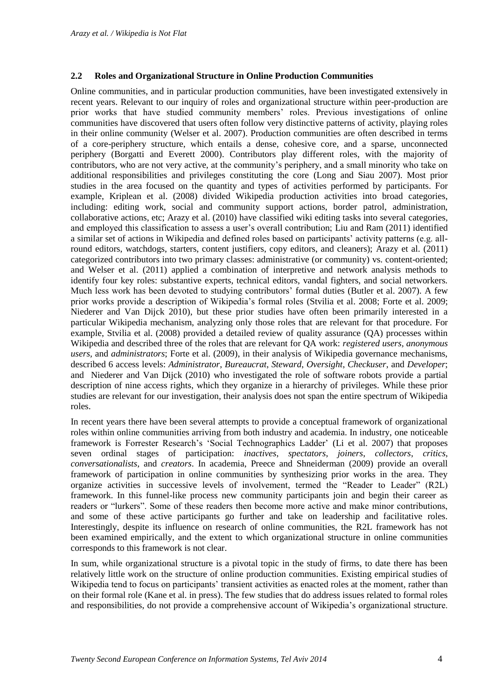#### **2.2 Roles and Organizational Structure in Online Production Communities**

Online communities, and in particular production communities, have been investigated extensively in recent years. Relevant to our inquiry of roles and organizational structure within peer-production are prior works that have studied community members' roles. Previous investigations of online communities have discovered that users often follow very distinctive patterns of activity, playing roles in their online community [\(Welser et al. 2007\)](#page-14-8). Production communities are often described in terms of a core-periphery structure, which entails a dense, cohesive core, and a sparse, unconnected periphery [\(Borgatti and Everett 2000\)](#page-13-7). Contributors play different roles, with the majority of contributors, who are not very active, at the community's periphery, and a small minority who take on additional responsibilities and privileges constituting the core [\(Long and Siau 2007\)](#page-14-9). Most prior studies in the area focused on the quantity and types of activities performed by participants. For example, [Kriplean et al. \(2008\)](#page-13-8) divided Wikipedia production activities into broad categories, including: editing work, social and community support actions, border patrol, administration, collaborative actions, etc; [Arazy et al. \(2010\)](#page-12-3) have classified wiki editing tasks into several categories, and employed this classification to assess a user's overall contribution; [Liu and Ram \(2011\)](#page-14-10) identified a similar set of actions in Wikipedia and defined roles based on participants' activity patterns (e.g. all-round editors, watchdogs, starters, content justifiers, copy editors, and cleaners); [Arazy et al. \(2011\)](#page-12-0) categorized contributors into two primary classes: administrative (or community) vs. content-oriented; and [Welser et al. \(2011\)](#page-14-11) applied a combination of interpretive and network analysis methods to identify four key roles: substantive experts, technical editors, vandal fighters, and social networkers. Much less work has been devoted to studying contributors' formal duties [\(Butler et al. 2007\)](#page-13-9). A few prior works provide a description of Wikipedia's formal roles [\(Stvilia et al. 2008;](#page-14-2) [Forte et al. 2009;](#page-13-1) [Niederer and Van Dijck 2010\)](#page-14-12), but these prior studies have often been primarily interested in a particular Wikipedia mechanism, analyzing only those roles that are relevant for that procedure. For example, [Stvilia et al. \(2008\)](#page-14-2) provided a detailed review of quality assurance (QA) processes within Wikipedia and described three of the roles that are relevant for QA work: *registered users, anonymous users,* and *administrators*; [Forte et al. \(2009\),](#page-13-1) in their analysis of Wikipedia governance mechanisms, described 6 access levels: *Administrator*, *Bureaucrat*, *Steward*, *Oversight*, *Checkuser*, and *Developer*; and [Niederer and Van Dijck \(2010\)](#page-14-12) who investigated the role of software robots provide a partial description of nine access rights, which they organize in a hierarchy of privileges. While these prior studies are relevant for our investigation, their analysis does not span the entire spectrum of Wikipedia roles.

In recent years there have been several attempts to provide a conceptual framework of organizational roles within online communities arriving from both industry and academia. In industry, one noticeable framework is Forrester Research's 'Social Technographics Ladder' [\(Li et al. 2007\)](#page-14-13) that proposes seven ordinal stages of participation: *inactives*, *spectators*, *joiners*, *collectors*, *critics*, *conversationalists*, and *creators*. In academia, [Preece and Shneiderman \(2009\)](#page-14-14) provide an overall framework of participation in online communities by synthesizing prior works in the area. They organize activities in successive levels of involvement, termed the "Reader to Leader" (R2L) framework. In this funnel-like process new community participants join and begin their career as readers or "lurkers". Some of these readers then become more active and make minor contributions, and some of these active participants go further and take on leadership and facilitative roles. Interestingly, despite its influence on research of online communities, the R2L framework has not been examined empirically, and the extent to which organizational structure in online communities corresponds to this framework is not clear.

In sum, while organizational structure is a pivotal topic in the study of firms, to date there has been relatively little work on the structure of online production communities. Existing empirical studies of Wikipedia tend to focus on participants' transient activities as enacted roles at the moment, rather than on their formal role [\(Kane et al. in press\)](#page-13-10). The few studies that do address issues related to formal roles and responsibilities, do not provide a comprehensive account of Wikipedia's organizational structure.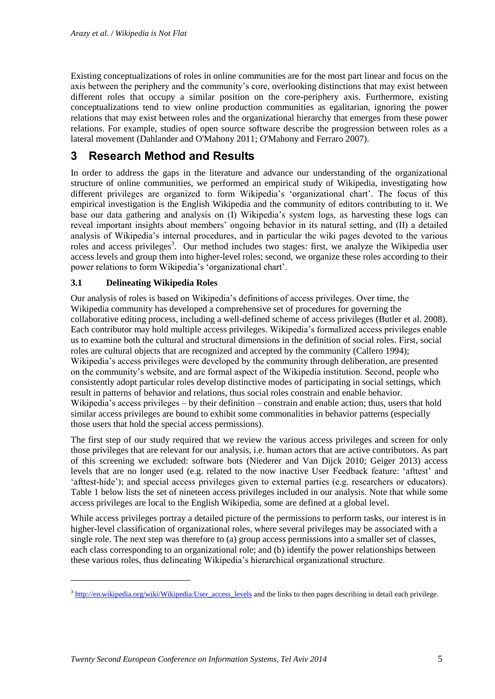Existing conceptualizations of roles in online communities are for the most part linear and focus on the axis between the periphery and the community's core, overlooking distinctions that may exist between different roles that occupy a similar position on the core-periphery axis. Furthermore, existing conceptualizations tend to view online production communities as egalitarian, ignoring the power relations that may exist between roles and the organizational hierarchy that emerges from these power relations. For example, studies of open source software describe the progression between roles as a lateral movement [\(Dahlander and O'Mahony 2011;](#page-13-11) [O'Mahony and Ferraro 2007\)](#page-14-15).

## **3 Research Method and Results**

In order to address the gaps in the literature and advance our understanding of the organizational structure of online communities, we performed an empirical study of Wikipedia, investigating how different privileges are organized to form Wikipedia's 'organizational chart'. The focus of this empirical investigation is the English Wikipedia and the community of editors contributing to it. We base our data gathering and analysis on (I) Wikipedia's system logs, as harvesting these logs can reveal important insights about members' ongoing behavior in its natural setting, and (II) a detailed analysis of Wikipedia's internal procedures, and in particular the wiki pages devoted to the various roles and access privileges<sup>3</sup>. Our method includes two stages: first, we analyze the Wikipedia user access levels and group them into higher-level roles; second, we organize these roles according to their power relations to form Wikipedia's 'organizational chart'.

#### **3.1 Delineating Wikipedia Roles**

-

Our analysis of roles is based on Wikipedia's definitions of access privileges. Over time, the Wikipedia community has developed a comprehensive set of procedures for governing the collaborative editing process, including a well-defined scheme of access privileges [\(Butler et al. 2008\)](#page-13-2). Each contributor may hold multiple access privileges. Wikipedia's formalized access privileges enable us to examine both the cultural and structural dimensions in the definition of social roles. First, social roles are cultural objects that are recognized and accepted by the community [\(Callero 1994\)](#page-13-12); Wikipedia's access privileges were developed by the community through deliberation, are presented on the community's website, and are formal aspect of the Wikipedia institution. Second, people who consistently adopt particular roles develop distinctive modes of participating in social settings, which result in patterns of behavior and relations, thus social roles constrain and enable behavior. Wikipedia's access privileges – by their definition – constrain and enable action; thus, users that hold similar access privileges are bound to exhibit some commonalities in behavior patterns (especially those users that hold the special access permissions).

The first step of our study required that we review the various access privileges and screen for only those privileges that are relevant for our analysis, i.e. human actors that are active contributors. As part of this screening we excluded: software bots [\(Niederer and Van Dijck 2010;](#page-14-12) [Geiger 2013\)](#page-13-13) access levels that are no longer used (e.g. related to the now inactive User Feedback feature: 'afttest' and 'afttest-hide'); and special access privileges given to external parties (e.g. researchers or educators). Table 1 below lists the set of nineteen access privileges included in our analysis. Note that while some access privileges are local to the English Wikipedia, some are defined at a global level.

While access privileges portray a detailed picture of the permissions to perform tasks, our interest is in higher-level classification of organizational roles, where several privileges may be associated with a single role. The next step was therefore to (a) group access permissions into a smaller set of classes, each class corresponding to an organizational role; and (b) identify the power relationships between these various roles, thus delineating Wikipedia's hierarchical organizational structure.

<sup>&</sup>lt;sup>3</sup> [http://en.wikipedia.org/wiki/Wikipedia:User\\_access\\_levels](http://en.wikipedia.org/wiki/Wikipedia:User_access_levels) and the links to then pages describing in detail each privilege.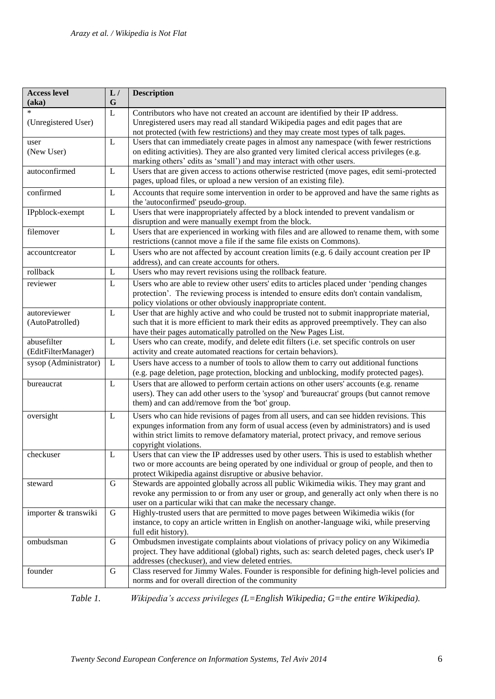| <b>Access level</b><br>(aka)       | L/<br>G     | <b>Description</b>                                                                                                                                                                                                                                                                                      |
|------------------------------------|-------------|---------------------------------------------------------------------------------------------------------------------------------------------------------------------------------------------------------------------------------------------------------------------------------------------------------|
| $\ast$<br>(Unregistered User)      | $\mathbf L$ | Contributors who have not created an account are identified by their IP address.<br>Unregistered users may read all standard Wikipedia pages and edit pages that are<br>not protected (with few restrictions) and they may create most types of talk pages.                                             |
| user<br>(New User)                 | L           | Users that can immediately create pages in almost any namespace (with fewer restrictions<br>on editing activities). They are also granted very limited clerical access privileges (e.g.<br>marking others' edits as 'small') and may interact with other users.                                         |
| autoconfirmed                      | L           | Users that are given access to actions otherwise restricted (move pages, edit semi-protected<br>pages, upload files, or upload a new version of an existing file).                                                                                                                                      |
| confirmed                          | L           | Accounts that require some intervention in order to be approved and have the same rights as<br>the 'autoconfirmed' pseudo-group.                                                                                                                                                                        |
| IPpblock-exempt                    | $\mathbf L$ | Users that were inappropriately affected by a block intended to prevent vandalism or<br>disruption and were manually exempt from the block.                                                                                                                                                             |
| filemover                          | L           | Users that are experienced in working with files and are allowed to rename them, with some<br>restrictions (cannot move a file if the same file exists on Commons).                                                                                                                                     |
| accountcreator                     | L           | Users who are not affected by account creation limits (e.g. 6 daily account creation per IP<br>address), and can create accounts for others.                                                                                                                                                            |
| rollback                           | $\mathbf L$ | Users who may revert revisions using the rollback feature.                                                                                                                                                                                                                                              |
| reviewer                           | $\mathbf L$ | Users who are able to review other users' edits to articles placed under 'pending changes<br>protection'. The reviewing process is intended to ensure edits don't contain vandalism,<br>policy violations or other obviously inappropriate content.                                                     |
| autoreviewer<br>(AutoPatrolled)    | $\mathbf L$ | User that are highly active and who could be trusted not to submit inappropriate material,<br>such that it is more efficient to mark their edits as approved preemptively. They can also<br>have their pages automatically patrolled on the New Pages List.                                             |
| abusefilter<br>(EditFilterManager) | L           | Users who can create, modify, and delete edit filters (i.e. set specific controls on user<br>activity and create automated reactions for certain behaviors).                                                                                                                                            |
| sysop (Administrator)              | L           | Users have access to a number of tools to allow them to carry out additional functions<br>(e.g. page deletion, page protection, blocking and unblocking, modify protected pages).                                                                                                                       |
| bureaucrat                         | L           | Users that are allowed to perform certain actions on other users' accounts (e.g. rename<br>users). They can add other users to the 'sysop' and 'bureaucrat' groups (but cannot remove<br>them) and can add/remove from the 'bot' group.                                                                 |
| oversight                          | L           | Users who can hide revisions of pages from all users, and can see hidden revisions. This<br>expunges information from any form of usual access (even by administrators) and is used<br>within strict limits to remove defamatory material, protect privacy, and remove serious<br>copyright violations. |
| checkuser                          | L           | Users that can view the IP addresses used by other users. This is used to establish whether<br>two or more accounts are being operated by one individual or group of people, and then to<br>protect Wikipedia against disruptive or abusive behavior.                                                   |
| steward                            | $\mathbf G$ | Stewards are appointed globally across all public Wikimedia wikis. They may grant and<br>revoke any permission to or from any user or group, and generally act only when there is no<br>user on a particular wiki that can make the necessary change.                                                   |
| importer & transwiki               | G           | Highly-trusted users that are permitted to move pages between Wikimedia wikis (for<br>instance, to copy an article written in English on another-language wiki, while preserving<br>full edit history).                                                                                                 |
| ombudsman                          | G           | Ombudsmen investigate complaints about violations of privacy policy on any Wikimedia<br>project. They have additional (global) rights, such as: search deleted pages, check user's IP<br>addresses (checkuser), and view deleted entries.                                                               |
| founder                            | G           | Class reserved for Jimmy Wales. Founder is responsible for defining high-level policies and<br>norms and for overall direction of the community                                                                                                                                                         |

*Table 1. Wikipedia's access privileges (L=English Wikipedia; G=the entire Wikipedia).*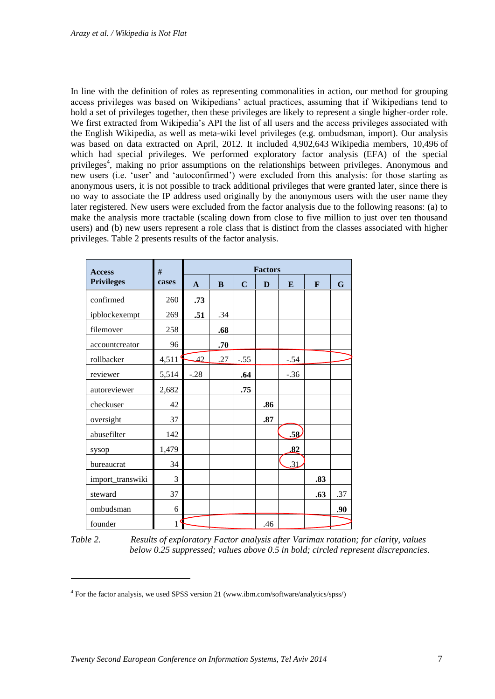In line with the definition of roles as representing commonalities in action, our method for grouping access privileges was based on Wikipedians' actual practices, assuming that if Wikipedians tend to hold a set of privileges together, then these privileges are likely to represent a single higher-order role. We first extracted from Wikipedia's API the list of all users and the access privileges associated with the English Wikipedia, as well as meta-wiki level privileges (e.g. ombudsman, import). Our analysis was based on data extracted on April, 2012. It included 4,902,643 Wikipedia members, 10,496 of which had special privileges. We performed exploratory factor analysis (EFA) of the special privileges<sup>4</sup>, making no prior assumptions on the relationships between privileges. Anonymous and new users (i.e. 'user' and 'autoconfirmed') were excluded from this analysis: for those starting as anonymous users, it is not possible to track additional privileges that were granted later, since there is no way to associate the IP address used originally by the anonymous users with the user name they later registered. New users were excluded from the factor analysis due to the following reasons: (a) to make the analysis more tractable (scaling down from close to five million to just over ten thousand users) and (b) new users represent a role class that is distinct from the classes associated with higher privileges. Table 2 presents results of the factor analysis.

| <b>Access</b>     | #     |              | <b>Factors</b> |             |     |        |              |             |  |  |
|-------------------|-------|--------------|----------------|-------------|-----|--------|--------------|-------------|--|--|
| <b>Privileges</b> | cases | $\mathbf{A}$ | B              | $\mathbf C$ | D   | E      | $\mathbf{F}$ | $\mathbf G$ |  |  |
| confirmed         | 260   | .73          |                |             |     |        |              |             |  |  |
| ipblockexempt     | 269   | .51          | .34            |             |     |        |              |             |  |  |
| filemover         | 258   |              | .68            |             |     |        |              |             |  |  |
| accountcreator    | 96    |              | .70            |             |     |        |              |             |  |  |
| rollbacker        | 4,511 | 42           | .27            | $-.55$      |     | $-.54$ |              |             |  |  |
| reviewer          | 5,514 | $-.28$       |                | .64         |     | $-.36$ |              |             |  |  |
| autoreviewer      | 2,682 |              |                | .75         |     |        |              |             |  |  |
| checkuser         | 42    |              |                |             | .86 |        |              |             |  |  |
| oversight         | 37    |              |                |             | .87 |        |              |             |  |  |
| abusefilter       | 142   |              |                |             |     | .58    |              |             |  |  |
| sysop             | 1,479 |              |                |             |     | .82    |              |             |  |  |
| bureaucrat        | 34    |              |                |             |     | .31    |              |             |  |  |
| import_transwiki  | 3     |              |                |             |     |        | .83          |             |  |  |
| steward           | 37    |              |                |             |     |        | .63          | .37         |  |  |
| ombudsman         | 6     |              |                |             |     |        |              | .90         |  |  |
| founder           | 1     |              |                |             | .46 |        |              |             |  |  |

*Table 2. Results of exploratory Factor analysis after Varimax rotation; for clarity, values below 0.25 suppressed; values above 0.5 in bold; circled represent discrepancies.*

-

<sup>4</sup> For the factor analysis, we used SPSS version 21 (www.ibm.com/software/analytics/spss/)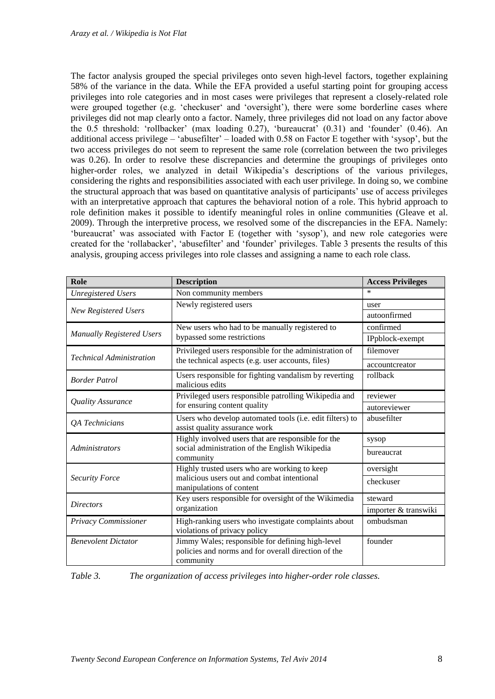The factor analysis grouped the special privileges onto seven high-level factors, together explaining 58% of the variance in the data. While the EFA provided a useful starting point for grouping access privileges into role categories and in most cases were privileges that represent a closely-related role were grouped together (e.g. 'checkuser' and 'oversight'), there were some borderline cases where privileges did not map clearly onto a factor. Namely, three privileges did not load on any factor above the 0.5 threshold: 'rollbacker' (max loading 0.27), 'bureaucrat' (0.31) and 'founder' (0.46). An additional access privilege – 'abusefilter' – loaded with 0.58 on Factor E together with 'sysop', but the two access privileges do not seem to represent the same role (correlation between the two privileges was 0.26). In order to resolve these discrepancies and determine the groupings of privileges onto higher-order roles, we analyzed in detail Wikipedia's descriptions of the various privileges, considering the rights and responsibilities associated with each user privilege. In doing so, we combine the structural approach that was based on quantitative analysis of participants' use of access privileges with an interpretative approach that captures the behavioral notion of a role. This hybrid approach to role definition makes it possible to identify meaningful roles in online communities [\(Gleave et al.](#page-13-3)  [2009\)](#page-13-3). Through the interpretive process, we resolved some of the discrepancies in the EFA. Namely: 'bureaucrat' was associated with Factor E (together with 'sysop'), and new role categories were created for the 'rollabacker', 'abusefilter' and 'founder' privileges. Table 3 presents the results of this analysis, grouping access privileges into role classes and assigning a name to each role class.

| Role<br><b>Description</b>       |                                                                                                                      | <b>Access Privileges</b> |  |  |  |
|----------------------------------|----------------------------------------------------------------------------------------------------------------------|--------------------------|--|--|--|
| <b>Unregistered Users</b>        | Non community members                                                                                                | $\ast$                   |  |  |  |
|                                  | Newly registered users                                                                                               | user                     |  |  |  |
| New Registered Users             |                                                                                                                      | autoonfirmed             |  |  |  |
|                                  | New users who had to be manually registered to                                                                       | confirmed                |  |  |  |
| <b>Manually Registered Users</b> | bypassed some restrictions                                                                                           | IPpblock-exempt          |  |  |  |
| <b>Technical Administration</b>  | Privileged users responsible for the administration of                                                               | filemover                |  |  |  |
|                                  | the technical aspects (e.g. user accounts, files)                                                                    | accountcreator           |  |  |  |
| <b>Border Patrol</b>             | rollback<br>Users responsible for fighting vandalism by reverting<br>malicious edits                                 |                          |  |  |  |
| Quality Assurance                | Privileged users responsible patrolling Wikipedia and                                                                | reviewer                 |  |  |  |
|                                  | for ensuring content quality                                                                                         | autoreviewer             |  |  |  |
| QA Technicians                   | abusefilter<br>Users who develop automated tools (i.e. edit filters) to<br>assist quality assurance work             |                          |  |  |  |
|                                  | Highly involved users that are responsible for the                                                                   | sysop                    |  |  |  |
| <b>Administrators</b>            | social administration of the English Wikipedia<br>community                                                          | bureaucrat               |  |  |  |
|                                  | Highly trusted users who are working to keep                                                                         | oversight                |  |  |  |
| <b>Security Force</b>            | malicious users out and combat intentional<br>manipulations of content                                               | checkuser                |  |  |  |
| <b>Directors</b>                 | Key users responsible for oversight of the Wikimedia                                                                 | steward                  |  |  |  |
|                                  | organization                                                                                                         | importer & transwiki     |  |  |  |
| Privacy Commissioner             | High-ranking users who investigate complaints about<br>violations of privacy policy                                  | ombudsman                |  |  |  |
| <b>Benevolent Dictator</b>       | Jimmy Wales; responsible for defining high-level<br>policies and norms and for overall direction of the<br>community | founder                  |  |  |  |

*Table 3. The organization of access privileges into higher-order role classes.*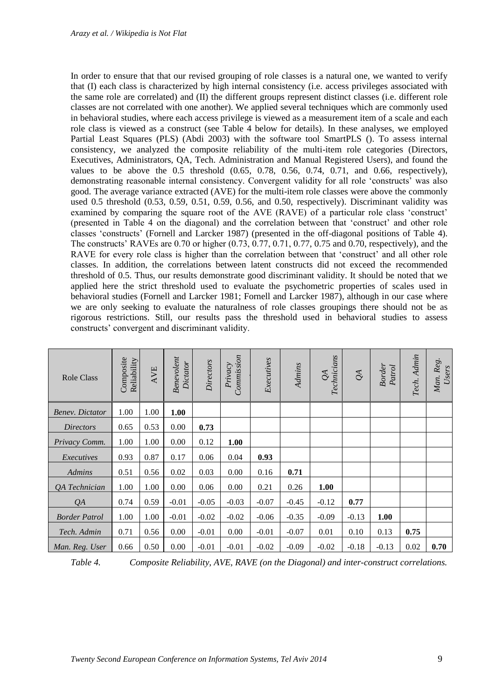In order to ensure that that our revised grouping of role classes is a natural one, we wanted to verify that (I) each class is characterized by high internal consistency (i.e. access privileges associated with the same role are correlated) and (II) the different groups represent distinct classes (i.e. different role classes are not correlated with one another). We applied several techniques which are commonly used in behavioral studies, where each access privilege is viewed as a measurement item of a scale and each role class is viewed as a construct (see Table 4 below for details). In these analyses, we employed Partial Least Squares (PLS) [\(Abdi 2003\)](#page-12-4) with the software tool SmartPLS (). To assess internal consistency, we analyzed the composite reliability of the multi-item role categories (Directors, Executives, Administrators, QA, Tech. Administration and Manual Registered Users), and found the values to be above the  $0.5$  threshold  $(0.65, 0.78, 0.56, 0.74, 0.71,$  and  $0.66$ , respectively), demonstrating reasonable internal consistency. Convergent validity for all role 'constructs' was also good. The average variance extracted (AVE) for the multi-item role classes were above the commonly used 0.5 threshold (0.53, 0.59, 0.51, 0.59, 0.56, and 0.50, respectively). Discriminant validity was examined by comparing the square root of the AVE (RAVE) of a particular role class 'construct' (presented in Table 4 on the diagonal) and the correlation between that 'construct' and other role classes 'constructs' [\(Fornell and Larcker 1987\)](#page-13-14) (presented in the off-diagonal positions of Table 4). The constructs' RAVEs are 0.70 or higher (0.73, 0.77, 0.71, 0.77, 0.75 and 0.70, respectively), and the RAVE for every role class is higher than the correlation between that 'construct' and all other role classes. In addition, the correlations between latent constructs did not exceed the recommended threshold of 0.5. Thus, our results demonstrate good discriminant validity. It should be noted that we applied here the strict threshold used to evaluate the psychometric properties of scales used in behavioral studies [\(Fornell and Larcker 1981;](#page-13-15) [Fornell and Larcker 1987\)](#page-13-14), although in our case where we are only seeking to evaluate the naturalness of role classes groupings there should not be as rigorous restrictions. Still, our results pass the threshold used in behavioral studies to assess constructs' convergent and discriminant validity.

| <b>Role Class</b>      | Composite<br>Reliability | AVE  | Benevolent<br>Dictator | Directors | Commission<br>Privacy | Executives | Admins  | Technicians<br>$\mathcal{Q}$ | $\mathcal{Q}$ | <b>Border</b><br>Partrol | Tech. Admin | Man. Reg.<br>Users |
|------------------------|--------------------------|------|------------------------|-----------|-----------------------|------------|---------|------------------------------|---------------|--------------------------|-------------|--------------------|
| <b>Benev.</b> Dictator | 1.00                     | 1.00 | 1.00                   |           |                       |            |         |                              |               |                          |             |                    |
| <i>Directors</i>       | 0.65                     | 0.53 | 0.00                   | 0.73      |                       |            |         |                              |               |                          |             |                    |
| Privacy Comm.          | 1.00                     | 1.00 | 0.00                   | 0.12      | 1.00                  |            |         |                              |               |                          |             |                    |
| Executives             | 0.93                     | 0.87 | 0.17                   | 0.06      | 0.04                  | 0.93       |         |                              |               |                          |             |                    |
| <b>Admins</b>          | 0.51                     | 0.56 | 0.02                   | 0.03      | 0.00                  | 0.16       | 0.71    |                              |               |                          |             |                    |
| QA Technician          | 1.00                     | 1.00 | 0.00                   | 0.06      | 0.00                  | 0.21       | 0.26    | 1.00                         |               |                          |             |                    |
| QA                     | 0.74                     | 0.59 | $-0.01$                | $-0.05$   | $-0.03$               | $-0.07$    | $-0.45$ | $-0.12$                      | 0.77          |                          |             |                    |
| <b>Border Patrol</b>   | 1.00                     | 1.00 | $-0.01$                | $-0.02$   | $-0.02$               | $-0.06$    | $-0.35$ | $-0.09$                      | $-0.13$       | 1.00                     |             |                    |
| Tech. Admin            | 0.71                     | 0.56 | 0.00                   | $-0.01$   | 0.00                  | $-0.01$    | $-0.07$ | 0.01                         | 0.10          | 0.13                     | 0.75        |                    |
| Man. Reg. User         | 0.66                     | 0.50 | 0.00                   | $-0.01$   | $-0.01$               | $-0.02$    | $-0.09$ | $-0.02$                      | $-0.18$       | $-0.13$                  | 0.02        | 0.70               |

*Table 4. Composite Reliability, AVE, RAVE (on the Diagonal) and inter-construct correlations.*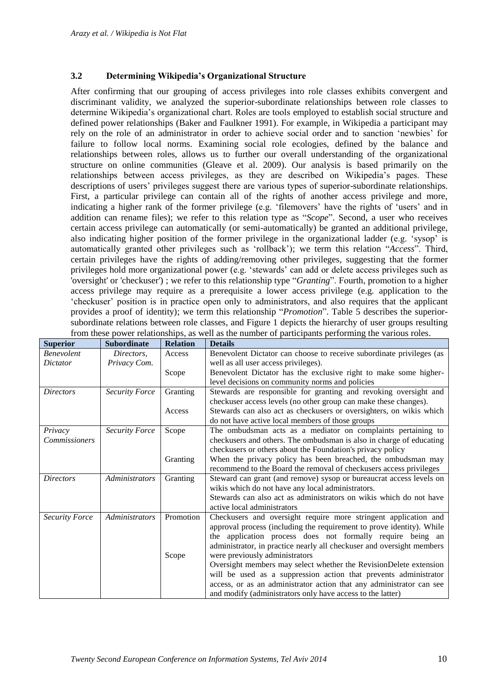#### **3.2 Determining Wikipedia's Organizational Structure**

After confirming that our grouping of access privileges into role classes exhibits convergent and discriminant validity, we analyzed the superior-subordinate relationships between role classes to determine Wikipedia's organizational chart. Roles are tools employed to establish social structure and defined power relationships [\(Baker and Faulkner 1991\)](#page-13-6). For example, in Wikipedia a participant may rely on the role of an administrator in order to achieve social order and to sanction 'newbies' for failure to follow local norms. Examining social role ecologies, defined by the balance and relationships between roles, allows us to further our overall understanding of the organizational structure on online communities [\(Gleave et al. 2009\)](#page-13-3). Our analysis is based primarily on the relationships between access privileges, as they are described on Wikipedia's pages. These descriptions of users' privileges suggest there are various types of superior-subordinate relationships. First, a particular privilege can contain all of the rights of another access privilege and more, indicating a higher rank of the former privilege (e.g. 'filemovers' have the rights of 'users' and in addition can rename files); we refer to this relation type as "*Scope*". Second, a user who receives certain access privilege can automatically (or semi-automatically) be granted an additional privilege, also indicating higher position of the former privilege in the organizational ladder (e.g. 'sysop' is automatically granted other privileges such as 'rollback'); we term this relation "*Access*". Third, certain privileges have the rights of adding/removing other privileges, suggesting that the former privileges hold more organizational power (e.g. 'stewards' can add or delete access privileges such as 'oversight' or 'checkuser') ; we refer to this relationship type "*Granting*". Fourth, promotion to a higher access privilege may require as a prerequisite a lower access privilege (e.g. application to the 'checkuser' position is in practice open only to administrators, and also requires that the applicant provides a proof of identity); we term this relationship "*Promotion*". Table 5 describes the superiorsubordinate relations between role classes, and Figure 1 depicts the hierarchy of user groups resulting from these power relationships, as well as the number of participants performing the various roles.

| <b>Superior</b>       | <b>Subordinate</b>    | <b>Relation</b> | <b>Details</b>                                                        |
|-----------------------|-----------------------|-----------------|-----------------------------------------------------------------------|
| <b>Benevolent</b>     | Directors,            | Access          | Benevolent Dictator can choose to receive subordinate privileges (as  |
| Dictator              | Privacy Com.          |                 | well as all user access privileges).                                  |
|                       |                       | Scope           | Benevolent Dictator has the exclusive right to make some higher-      |
|                       |                       |                 | level decisions on community norms and policies                       |
| <b>Directors</b>      | <b>Security Force</b> | Granting        | Stewards are responsible for granting and revoking oversight and      |
|                       |                       |                 | checkuser access levels (no other group can make these changes).      |
|                       |                       | Access          | Stewards can also act as checkusers or oversighters, on wikis which   |
|                       |                       |                 | do not have active local members of those groups                      |
| Privacy               | <b>Security Force</b> | Scope           | The ombudsman acts as a mediator on complaints pertaining to          |
| <i>Commissioners</i>  |                       |                 | checkusers and others. The ombudsman is also in charge of educating   |
|                       |                       |                 | checkusers or others about the Foundation's privacy policy            |
|                       |                       | Granting        | When the privacy policy has been breached, the ombudsman may          |
|                       |                       |                 | recommend to the Board the removal of checkusers access privileges    |
| <b>Directors</b>      | <i>Administrators</i> | Granting        | Steward can grant (and remove) sysop or bureaucrat access levels on   |
|                       |                       |                 | wikis which do not have any local administrators.                     |
|                       |                       |                 | Stewards can also act as administrators on wikis which do not have    |
|                       |                       |                 | active local administrators                                           |
| <b>Security Force</b> | <b>Administrators</b> | Promotion       | Checkusers and oversight require more stringent application and       |
|                       |                       |                 | approval process (including the requirement to prove identity). While |
|                       |                       |                 | the application process does not formally require being an            |
|                       |                       |                 | administrator, in practice nearly all checkuser and oversight members |
|                       |                       | Scope           | were previously administrators                                        |
|                       |                       |                 | Oversight members may select whether the RevisionDelete extension     |
|                       |                       |                 | will be used as a suppression action that prevents administrator      |
|                       |                       |                 | access, or as an administrator action that any administrator can see  |
|                       |                       |                 | and modify (administrators only have access to the latter)            |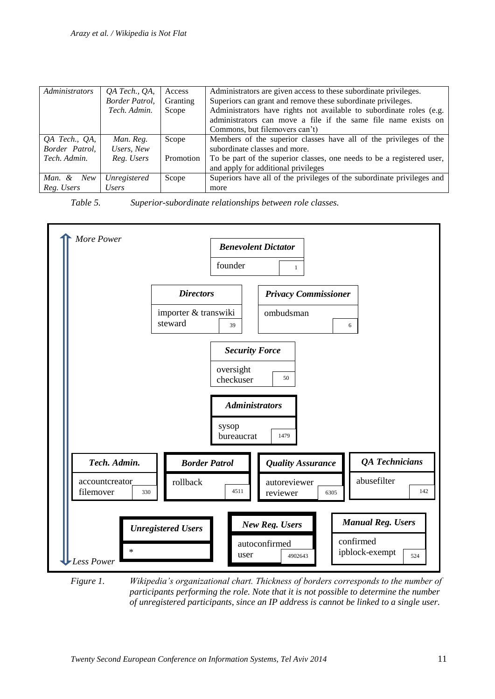| <i>Administrators</i> | QA Tech., QA,  | Access    | Administrators are given access to these subordinate privileges.       |  |  |  |  |
|-----------------------|----------------|-----------|------------------------------------------------------------------------|--|--|--|--|
|                       | Border Patrol, | Granting  | Superiors can grant and remove these subordinate privileges.           |  |  |  |  |
|                       | Tech. Admin.   | Scope     | Administrators have rights not available to subordinate roles (e.g.    |  |  |  |  |
|                       |                |           | administrators can move a file if the same file name exists on         |  |  |  |  |
|                       |                |           | Commons, but filemovers can't)                                         |  |  |  |  |
| QA Tech., QA,         | Man. Reg.      | Scope     | Members of the superior classes have all of the privileges of the      |  |  |  |  |
| Border Patrol,        | Users, New     |           | subordinate classes and more.                                          |  |  |  |  |
| Tech. Admin.          | Reg. Users     | Promotion | To be part of the superior classes, one needs to be a registered user, |  |  |  |  |
|                       |                |           | and apply for additional privileges                                    |  |  |  |  |
| Man. & New            | Unregistered   | Scope     | Superiors have all of the privileges of the subordinate privileges and |  |  |  |  |
| Reg. Users            | Users          |           | more                                                                   |  |  |  |  |

*Table 5. Superior-subordinate relationships between role classes.*



*Figure 1. Wikipedia's organizational chart. Thickness of borders corresponds to the number of participants performing the role. Note that it is not possible to determine the number of unregistered participants, since an IP address is cannot be linked to a single user.*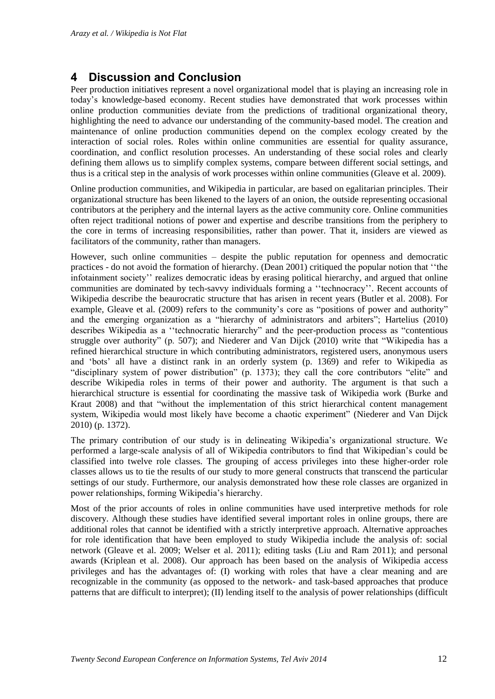### **4 Discussion and Conclusion**

Peer production initiatives represent a novel organizational model that is playing an increasing role in today's knowledge-based economy. Recent studies have demonstrated that work processes within online production communities deviate from the predictions of traditional organizational theory, highlighting the need to advance our understanding of the community-based model. The creation and maintenance of online production communities depend on the complex ecology created by the interaction of social roles. Roles within online communities are essential for quality assurance, coordination, and conflict resolution processes. An understanding of these social roles and clearly defining them allows us to simplify complex systems, compare between different social settings, and thus is a critical step in the analysis of work processes within online communities [\(Gleave et al. 2009\)](#page-13-3).

Online production communities, and Wikipedia in particular, are based on egalitarian principles. Their organizational structure has been likened to the layers of an onion, the outside representing occasional contributors at the periphery and the internal layers as the active community core. Online communities often reject traditional notions of power and expertise and describe transitions from the periphery to the core in terms of increasing responsibilities, rather than power. That it, insiders are viewed as facilitators of the community, rather than managers.

However, such online communities – despite the public reputation for openness and democratic practices - do not avoid the formation of hierarchy. [\(Dean 2001\)](#page-13-16) critiqued the popular notion that ''the infotainment society'' realizes democratic ideas by erasing political hierarchy, and argued that online communities are dominated by tech-savvy individuals forming a ''technocracy''. Recent accounts of Wikipedia describe the beaurocratic structure that has arisen in recent years [\(Butler et al. 2008\)](#page-13-2). For example, [Gleave et al. \(2009\)](#page-13-3) refers to the community's core as "positions of power and authority" and the emerging organization as a "hierarchy of administrators and arbiters"; [Hartelius \(2010\)](#page-13-17) describes Wikipedia as a ''technocratic hierarchy" and the peer-production process as "contentious struggle over authority" (p. 507); and [Niederer and Van Dijck \(2010\)](#page-14-12) write that "Wikipedia has a refined hierarchical structure in which contributing administrators, registered users, anonymous users and 'bots' all have a distinct rank in an orderly system (p. 1369) and refer to Wikipedia as "disciplinary system of power distribution" (p. 1373); they call the core contributors "elite" and describe Wikipedia roles in terms of their power and authority. The argument is that such a hierarchical structure is essential for coordinating the massive task of Wikipedia work [\(Burke and](#page-13-18)  [Kraut 2008\)](#page-13-18) and that "without the implementation of this strict hierarchical content management system, Wikipedia would most likely have become a chaotic experiment" [\(Niederer and Van Dijck](#page-14-12)  [2010\)](#page-14-12) (p. 1372).

The primary contribution of our study is in delineating Wikipedia's organizational structure. We performed a large-scale analysis of all of Wikipedia contributors to find that Wikipedian's could be classified into twelve role classes. The grouping of access privileges into these higher-order role classes allows us to tie the results of our study to more general constructs that transcend the particular settings of our study. Furthermore, our analysis demonstrated how these role classes are organized in power relationships, forming Wikipedia's hierarchy.

Most of the prior accounts of roles in online communities have used interpretive methods for role discovery. Although these studies have identified several important roles in online groups, there are additional roles that cannot be identified with a strictly interpretive approach. Alternative approaches for role identification that have been employed to study Wikipedia include the analysis of: social network [\(Gleave et al. 2009;](#page-13-3) [Welser et al. 2011\)](#page-14-11); editing tasks [\(Liu and Ram 2011\)](#page-14-10); and personal awards [\(Kriplean et al. 2008\)](#page-13-8). Our approach has been based on the analysis of Wikipedia access privileges and has the advantages of: (I) working with roles that have a clear meaning and are recognizable in the community (as opposed to the network- and task-based approaches that produce patterns that are difficult to interpret); (II) lending itself to the analysis of power relationships (difficult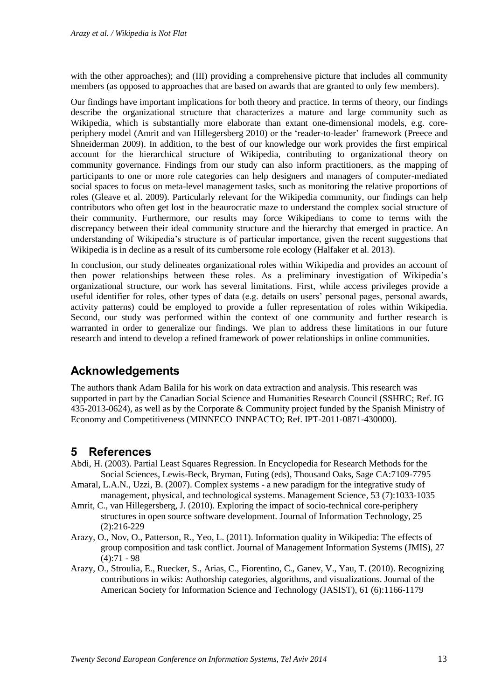with the other approaches); and (III) providing a comprehensive picture that includes all community members (as opposed to approaches that are based on awards that are granted to only few members).

Our findings have important implications for both theory and practice. In terms of theory, our findings describe the organizational structure that characterizes a mature and large community such as Wikipedia, which is substantially more elaborate than extant one-dimensional models, e.g. coreperiphery model [\(Amrit and van Hillegersberg 2010\)](#page-12-1) or the 'reader-to-leader' framework [\(Preece and](#page-14-14)  [Shneiderman 2009\)](#page-14-14). In addition, to the best of our knowledge our work provides the first empirical account for the hierarchical structure of Wikipedia, contributing to organizational theory on community governance. Findings from our study can also inform practitioners, as the mapping of participants to one or more role categories can help designers and managers of computer-mediated social spaces to focus on meta-level management tasks, such as monitoring the relative proportions of roles [\(Gleave et al. 2009\)](#page-13-3). Particularly relevant for the Wikipedia community, our findings can help contributors who often get lost in the beaurocratic maze to understand the complex social structure of their community. Furthermore, our results may force Wikipedians to come to terms with the discrepancy between their ideal community structure and the hierarchy that emerged in practice. An understanding of Wikipedia's structure is of particular importance, given the recent suggestions that Wikipedia is in decline as a result of its cumbersome role ecology [\(Halfaker et al. 2013\)](#page-13-19).

In conclusion, our study delineates organizational roles within Wikipedia and provides an account of then power relationships between these roles. As a preliminary investigation of Wikipedia's organizational structure, our work has several limitations. First, while access privileges provide a useful identifier for roles, other types of data (e.g. details on users' personal pages, personal awards, activity patterns) could be employed to provide a fuller representation of roles within Wikipedia. Second, our study was performed within the context of one community and further research is warranted in order to generalize our findings. We plan to address these limitations in our future research and intend to develop a refined framework of power relationships in online communities.

### **Acknowledgements**

The authors thank Adam Balila for his work on data extraction and analysis. This research was supported in part by the Canadian Social Science and Humanities Research Council (SSHRC; Ref. IG 435-2013-0624), as well as by the Corporate & Community project funded by the Spanish Ministry of Economy and Competitiveness (MINNECO INNPACTO; Ref. IPT-2011-0871-430000).

### **5 References**

- <span id="page-12-4"></span>Abdi, H. (2003). Partial Least Squares Regression. In Encyclopedia for Research Methods for the Social Sciences, Lewis-Beck, Bryman, Futing (eds), Thousand Oaks, Sage CA:7109-7795
- <span id="page-12-2"></span>Amaral, L.A.N., Uzzi, B. (2007). Complex systems - a new paradigm for the integrative study of management, physical, and technological systems. Management Science, 53 (7):1033-1035
- <span id="page-12-1"></span>Amrit, C., van Hillegersberg, J. (2010). Exploring the impact of socio-technical core-periphery structures in open source software development. Journal of Information Technology, 25 (2):216-229
- <span id="page-12-0"></span>Arazy, O., Nov, O., Patterson, R., Yeo, L. (2011). Information quality in Wikipedia: The effects of group composition and task conflict. Journal of Management Information Systems (JMIS), 27  $(4):71 - 98$
- <span id="page-12-3"></span>Arazy, O., Stroulia, E., Ruecker, S., Arias, C., Fiorentino, C., Ganev, V., Yau, T. (2010). Recognizing contributions in wikis: Authorship categories, algorithms, and visualizations. Journal of the American Society for Information Science and Technology (JASIST), 61 (6):1166-1179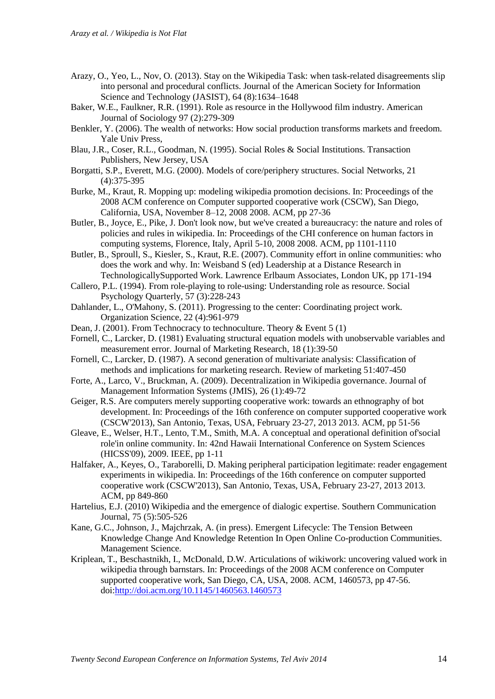- <span id="page-13-4"></span>Arazy, O., Yeo, L., Nov, O. (2013). Stay on the Wikipedia Task: when task-related disagreements slip into personal and procedural conflicts. Journal of the American Society for Information Science and Technology (JASIST), 64 (8):1634–1648
- <span id="page-13-6"></span>Baker, W.E., Faulkner, R.R. (1991). Role as resource in the Hollywood film industry. American Journal of Sociology 97 (2):279-309
- <span id="page-13-0"></span>Benkler, Y. (2006). The wealth of networks: How social production transforms markets and freedom. Yale Univ Press,
- <span id="page-13-5"></span>Blau, J.R., Coser, R.L., Goodman, N. (1995). Social Roles & Social Institutions. Transaction Publishers, New Jersey, USA
- <span id="page-13-7"></span>Borgatti, S.P., Everett, M.G. (2000). Models of core/periphery structures. Social Networks, 21 (4):375-395
- <span id="page-13-18"></span>Burke, M., Kraut, R. Mopping up: modeling wikipedia promotion decisions. In: Proceedings of the 2008 ACM conference on Computer supported cooperative work (CSCW), San Diego, California, USA, November 8–12, 2008 2008. ACM, pp 27-36
- <span id="page-13-2"></span>Butler, B., Joyce, E., Pike, J. Don't look now, but we've created a bureaucracy: the nature and roles of policies and rules in wikipedia. In: Proceedings of the CHI conference on human factors in computing systems, Florence, Italy, April 5-10, 2008 2008. ACM, pp 1101-1110
- <span id="page-13-9"></span>Butler, B., Sproull, S., Kiesler, S., Kraut, R.E. (2007). Community effort in online communities: who does the work and why. In: Weisband S (ed) Leadership at a Distance Research in TechnologicallySupported Work. Lawrence Erlbaum Associates, London UK, pp 171-194
- <span id="page-13-12"></span>Callero, P.L. (1994). From role-playing to role-using: Understanding role as resource. Social Psychology Quarterly, 57 (3):228-243
- <span id="page-13-11"></span>Dahlander, L., O'Mahony, S. (2011). Progressing to the center: Coordinating project work. Organization Science, 22 (4):961-979
- <span id="page-13-16"></span>Dean, J. (2001). From Technocracy to technoculture. Theory & Event 5 (1)
- <span id="page-13-15"></span>Fornell, C., Larcker, D. (1981) Evaluating structural equation models with unobservable variables and measurement error. Journal of Marketing Research, 18 (1):39-50
- <span id="page-13-14"></span>Fornell, C., Larcker, D. (1987). A second generation of multivariate analysis: Classification of methods and implications for marketing research. Review of marketing 51:407-450
- <span id="page-13-1"></span>Forte, A., Larco, V., Bruckman, A. (2009). Decentralization in Wikipedia governance. Journal of Management Information Systems (JMIS), 26 (1):49-72
- <span id="page-13-13"></span>Geiger, R.S. Are computers merely supporting cooperative work: towards an ethnography of bot development. In: Proceedings of the 16th conference on computer supported cooperative work (CSCW'2013), San Antonio, Texas, USA, February 23-27, 2013 2013. ACM, pp 51-56
- <span id="page-13-3"></span>Gleave, E., Welser, H.T., Lento, T.M., Smith, M.A. A conceptual and operational definition of'social role'in online community. In: 42nd Hawaii International Conference on System Sciences (HICSS'09), 2009. IEEE, pp 1-11
- <span id="page-13-19"></span>Halfaker, A., Keyes, O., Taraborelli, D. Making peripheral participation legitimate: reader engagement experiments in wikipedia. In: Proceedings of the 16th conference on computer supported cooperative work (CSCW'2013), San Antonio, Texas, USA, February 23-27, 2013 2013. ACM, pp 849-860
- <span id="page-13-17"></span>Hartelius, E.J. (2010) Wikipedia and the emergence of dialogic expertise. Southern Communication Journal, 75 (5):505-526
- <span id="page-13-10"></span>Kane, G.C., Johnson, J., Majchrzak, A. (in press). Emergent Lifecycle: The Tension Between Knowledge Change And Knowledge Retention In Open Online Co-production Communities. Management Science.
- <span id="page-13-8"></span>Kriplean, T., Beschastnikh, I., McDonald, D.W. Articulations of wikiwork: uncovering valued work in wikipedia through barnstars. In: Proceedings of the 2008 ACM conference on Computer supported cooperative work, San Diego, CA, USA, 2008. ACM, 1460573, pp 47-56. doi[:http://doi.acm.org/10.1145/1460563.1460573](http://doi.acm.org/10.1145/1460563.1460573)